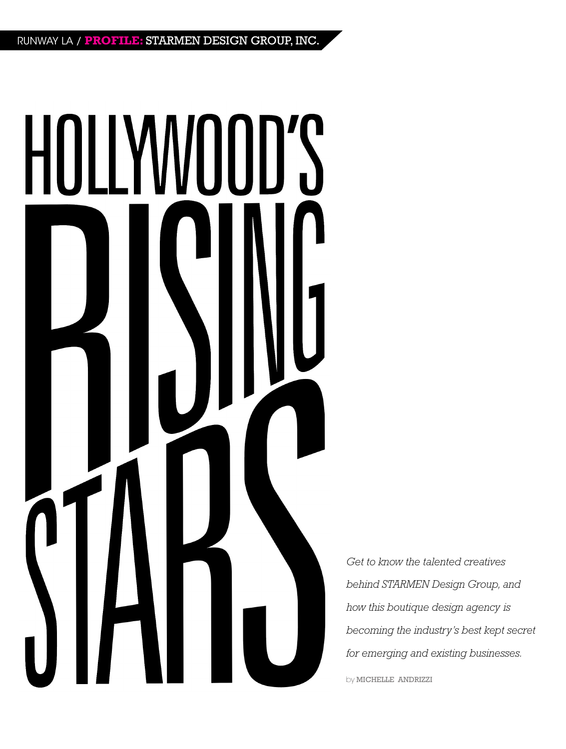# HOLLYWOOD'S H

*Get to know the talented creatives behind STARMEN Design Group, and how this boutique design agency is becoming the industry's best kept secret for emerging and existing businesses.*

by MICHELLE ANDRIZZI